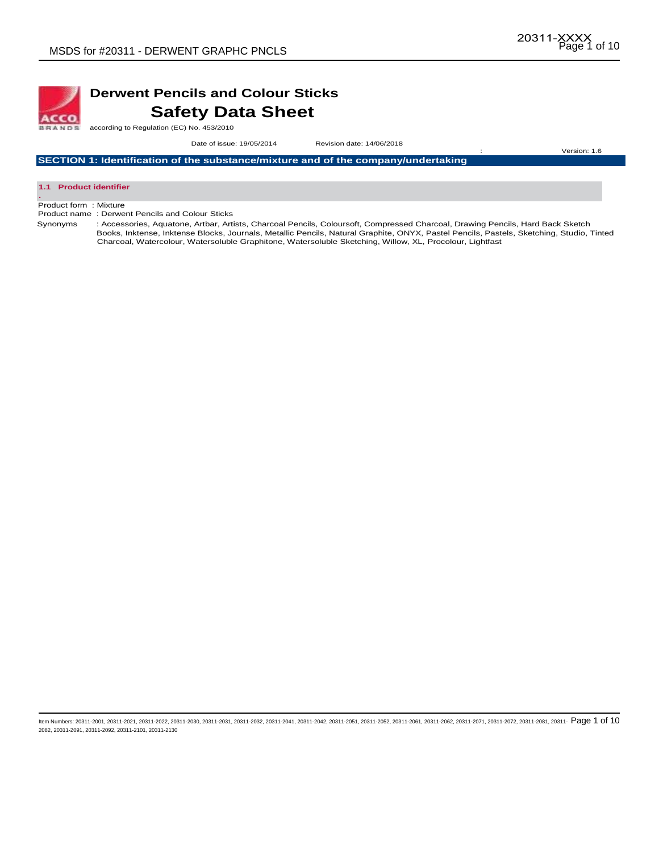

# **Derwent Pencils and Colour Sticks Safety Data Sheet**

according to Regulation (EC) No. 453/2010

 Date of issue: 19/05/2014Revision date: 14/06/2018 : Version: 1.6

**SECTION 1: Identification of the substance/mixture and of the company/undertaking** 



Product form : Mixture

Product name : Derwent Pencils and Colour Sticks

Synonyms : Accessories, Aquatone, Artbar, Artists, Charcoal Pencils, Coloursoft, Compressed Charcoal, Drawing Pencils, Hard Back Sketch Books, Inktense, Inktense Blocks, Journals, Metallic Pencils, Natural Graphite, ONYX, Pastel Pencils, Pastels, Sketching, Studio, Tinted Charcoal, Watercolour, Watersoluble Graphitone, Watersoluble Sketching, Willow, XL, Procolour, Lightfast

ltem Numbers: 20311-2001, 20311-2021, 20311-2022, 20311-2030, 20311-2031, 20311-2032, 20311-2041, 20311-2042, 20311-2051, 20311-2062, 20311-2061, 20311-2061, 20311-2062, 20311-2072, 20311-2072, 20311-2081, 20311-2072, 2031 2082, 20311-2091, 20311-2092, 20311-2101, 20311-2130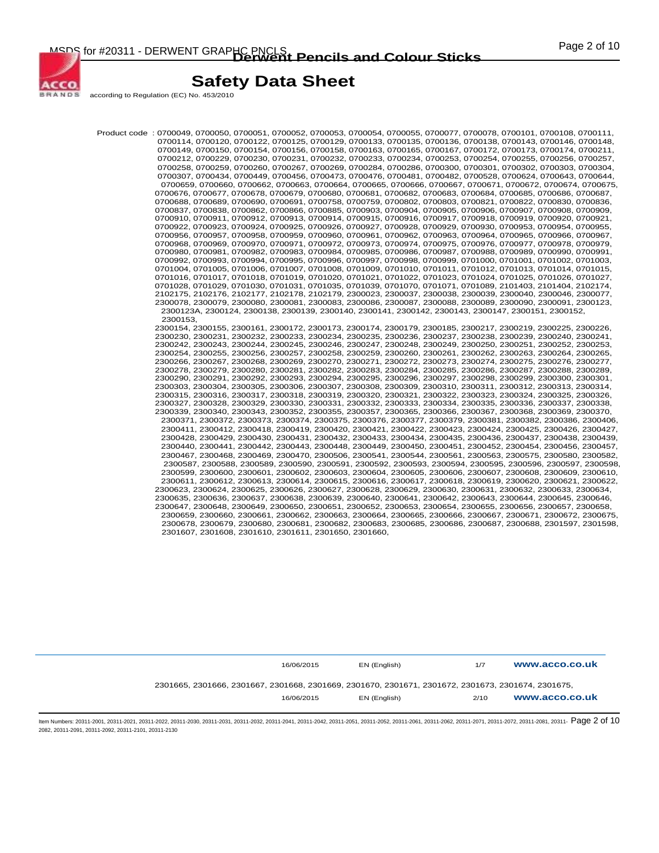

according to Regulation (EC) No. 453/2010

Product code : 0700049, 0700050, 0700051, 0700052, 0700053, 0700054, 0700055, 0700077, 0700078, 0700101, 0700108, 0700111, 0700114, 0700120, 0700122, 0700125, 0700129, 0700133, 0700135, 0700136, 0700138, 0700143, 0700146, 0700148, 0700149, 0700150, 0700154, 0700156, 0700158, 0700163, 0700165, 0700167, 0700172, 0700173, 0700174, 0700211, 0700212, 0700229, 0700230, 0700231, 0700232, 0700233, 0700234, 0700253, 0700254, 0700255, 0700256, 0700257, 0700258, 0700259, 0700260, 0700267, 0700269, 0700284, 0700286, 0700300, 0700301, 0700302, 0700303, 0700304, 0700307, 0700434, 0700449, 0700456, 0700473, 0700476, 0700481, 0700482, 0700528, 0700624, 0700643, 0700644, 0700659, 0700660, 0700662, 0700663, 0700664, 0700665, 0700666, 0700667, 0700671, 0700672, 0700674, 0700675, 0700676, 0700677, 0700678, 0700679, 0700680, 0700681, 0700682, 0700683, 0700684, 0700685, 0700686, 0700687, 0700688, 0700689, 0700690, 0700691, 0700758, 0700759, 0700802, 0700803, 0700821, 0700822, 0700830, 0700836, 0700837, 0700838, 0700862, 0700866, 0700885, 0700903, 0700904, 0700905, 0700906, 0700907, 0700908, 0700909, 0700910, 0700911, 0700912, 0700913, 0700914, 0700915, 0700916, 0700917, 0700918, 0700919, 0700920, 0700921, 0700922, 0700923, 0700924, 0700925, 0700926, 0700927, 0700928, 0700929, 0700930, 0700953, 0700954, 0700955, 0700956, 0700957, 0700958, 0700959, 0700960, 0700961, 0700962, 0700963, 0700964, 0700965, 0700966, 0700967, 0700968, 0700969, 0700970, 0700971, 0700972, 0700973, 0700974, 0700975, 0700976, 0700977, 0700978, 0700979, 0700980, 0700981, 0700982, 0700983, 0700984, 0700985, 0700986, 0700987, 0700988, 0700989, 0700990, 0700991, 0700992, 0700993, 0700994, 0700995, 0700996, 0700997, 0700998, 0700999, 0701000, 0701001, 0701002, 0701003, 0701004, 0701005, 0701006, 0701007, 0701008, 0701009, 0701010, 0701011, 0701012, 0701013, 0701014, 0701015, 0701016, 0701017, 0701018, 0701019, 0701020, 0701021, 0701022, 0701023, 0701024, 0701025, 0701026, 0701027, 0701028, 0701029, 0701030, 0701031, 0701035, 0701039, 0701070, 0701071, 0701089, 2101403, 2101404, 2102174, 2102175, 2102176, 2102177, 2102178, 2102179, 2300023, 2300037, 2300038, 2300039, 2300040, 2300046, 2300077, 2300078, 2300079, 2300080, 2300081, 2300083, 2300086, 2300087, 2300088, 2300089, 2300090, 2300091, 2300123, 2300123A, 2300124, 2300138, 2300139, 2300140, 2300141, 2300142, 2300143, 2300147, 2300151, 2300152, 2300153, 2300154, 2300155, 2300161, 2300172, 2300173, 2300174, 2300179, 2300185, 2300217, 2300219, 2300225, 2300226, 2300230, 2300231, 2300232, 2300233, 2300234, 2300235, 2300236, 2300237, 2300238, 2300239, 2300240, 2300241, 2300242, 2300243, 2300244, 2300245, 2300246, 2300247, 2300248, 2300249, 2300250, 2300251, 2300252, 2300253, 2300254, 2300255, 2300256, 2300257, 2300258, 2300259, 2300260, 2300261, 2300262, 2300263, 2300264, 2300265, 2300266, 2300267, 2300268, 2300269, 2300270, 2300271, 2300272, 2300273, 2300274, 2300275, 2300276, 2300277, 2300278, 2300279, 2300280, 2300281, 2300282, 2300283, 2300284, 2300285, 2300286, 2300287, 2300288, 2300289, 2300290, 2300291, 2300292, 2300293, 2300294, 2300295, 2300296, 2300297, 2300298, 2300299, 2300300, 2300301, 2300303, 2300304, 2300305, 2300306, 2300307, 2300308, 2300309, 2300310, 2300311, 2300312, 2300313, 2300314, 2300315, 2300316, 2300317, 2300318, 2300319, 2300320, 2300321, 2300322, 2300323, 2300324, 2300325, 2300326, 2300327, 2300328, 2300329, 2300330, 2300331, 2300332, 2300333, 2300334, 2300335, 2300336, 2300337, 2300338, 2300339, 2300340, 2300343, 2300352, 2300355, 2300357, 2300365, 2300366, 2300367, 2300368, 2300369, 2300370, 2300371, 2300372, 2300373, 2300374, 2300375, 2300376, 2300377, 2300379, 2300381, 2300382, 2300386, 2300406, 2300411, 2300412, 2300418, 2300419, 2300420, 2300421, 2300422, 2300423, 2300424, 2300425, 2300426, 2300427, 2300428, 2300429, 2300430, 2300431, 2300432, 2300433, 2300434, 2300435, 2300436, 2300437, 2300438, 2300439, 2300440, 2300441, 2300442, 2300443, 2300448, 2300449, 2300450, 2300451, 2300452, 2300454, 2300456, 2300457, 2300467, 2300468, 2300469, 2300470, 2300506, 2300541, 2300544, 2300561, 2300563, 2300575, 2300580, 2300582, 2300587, 2300588, 2300589, 2300590, 2300591, 2300592, 2300593, 2300594, 2300595, 2300596, 2300597, 2300598, 2300599, 2300600, 2300601, 2300602, 2300603, 2300604, 2300605, 2300606, 2300607, 2300608, 2300609, 2300610, 2300611, 2300612, 2300613, 2300614, 2300615, 2300616, 2300617, 2300618, 2300619, 2300620, 2300621, 2300622, 2300623, 2300624, 2300625, 2300626, 2300627, 2300628, 2300629, 2300630, 2300631, 2300632, 2300633, 2300634, 2300635, 2300636, 2300637, 2300638, 2300639, 2300640, 2300641, 2300642, 2300643, 2300644, 2300645, 2300646, 2300647, 2300648, 2300649, 2300650, 2300651, 2300652, 2300653, 2300654, 2300655, 2300656, 2300657, 2300658, 2300659, 2300660, 2300661, 2300662, 2300663, 2300664, 2300665, 2300666, 2300667, 2300671, 2300672, 2300675, 2300678, 2300679, 2300680, 2300681, 2300682, 2300683, 2300685, 2300686, 2300687, 2300688, 2301597, 2301598, 2301607, 2301608, 2301610, 2301611, 2301650, 2301660,

|                                                                                                    | 16/06/2015 | EN (English) | 1/7  | www.acco.co.uk |
|----------------------------------------------------------------------------------------------------|------------|--------------|------|----------------|
| 2301665, 2301666, 2301667, 2301668, 2301669, 2301670, 2301671, 2301672, 2301673, 2301674, 2301675, |            |              |      |                |
|                                                                                                    | 16/06/2015 | EN (English) | 2/10 | www.acco.co.uk |
|                                                                                                    |            |              |      |                |

ltem Numbers: 20311-2001, 20311-2021, 20311-2022, 20311-2030, 20311-2031, 20311-2032, 20311-2041, 20311-2043, 20311-2051, 20311-2062, 20311-2061, 20311-2061, 20311-2062, 20311-2072, 20311-2072, 20311-2081, 20311-2072, 2031 2082, 20311-2091, 20311-2092, 20311-2101, 20311-2130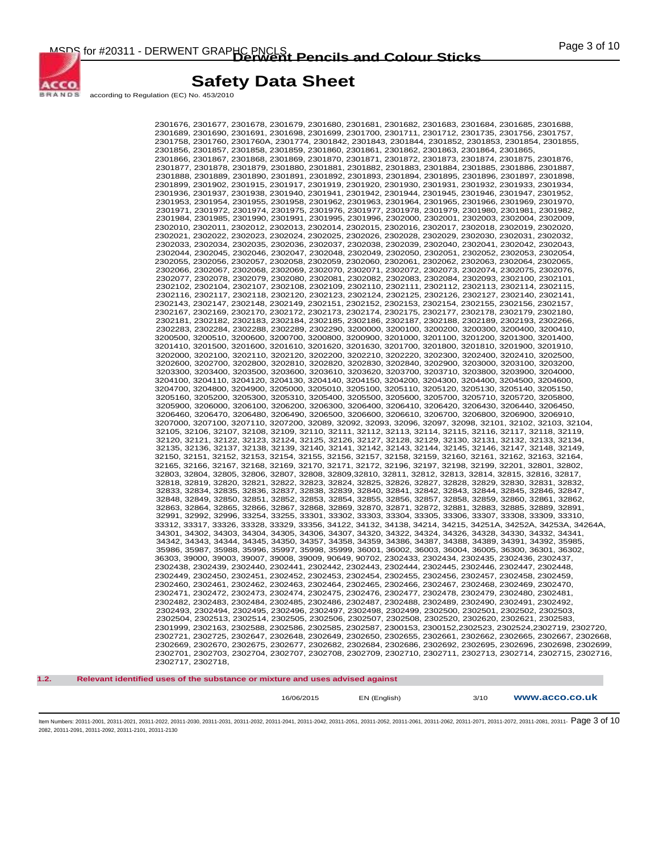

according to Regulation (EC) No. 453/2010

ACCO **BRANDS** 

> 2301676, 2301677, 2301678, 2301679, 2301680, 2301681, 2301682, 2301683, 2301684, 2301685, 2301688, 2301689, 2301690, 2301691, 2301698, 2301699, 2301700, 2301711, 2301712, 2301735, 2301756, 2301757, 2301758, 2301760, 2301760A, 2301774, 2301842, 2301843, 2301844, 2301852, 2301853, 2301854, 2301855, 2301856, 2301857, 2301858, 2301859, 2301860, 2301861, 2301862, 2301863, 2301864, 2301865, 2301866, 2301867, 2301868, 2301869, 2301870, 2301871, 2301872, 2301873, 2301874, 2301875, 2301876, 2301877, 2301878, 2301879, 2301880, 2301881, 2301882, 2301883, 2301884, 2301885, 2301886, 2301887, 2301888, 2301889, 2301890, 2301891, 2301892, 2301893, 2301894, 2301895, 2301896, 2301897, 2301898, 2301899, 2301902, 2301915, 2301917, 2301919, 2301920, 2301930, 2301931, 2301932, 2301933, 2301934, 2301936, 2301937, 2301938, 2301940, 2301941, 2301942, 2301944, 2301945, 2301946, 2301947, 2301952, 2301953, 2301954, 2301955, 2301958, 2301962, 2301963, 2301964, 2301965, 2301966, 2301969, 2301970, 2301971, 2301972, 2301974, 2301975, 2301976, 2301977, 2301978, 2301979, 2301980, 2301981, 2301982, 2301984, 2301985, 2301990, 2301991, 2301995, 2301996, 2302000, 2302001, 2302003, 2302004, 2302009, 2302010, 2302011, 2302012, 2302013, 2302014, 2302015, 2302016, 2302017, 2302018, 2302019, 2302020, 2302021, 2302022, 2302023, 2302024, 2302025, 2302026, 2302028, 2302029, 2302030, 2302031, 2302032, 2302033, 2302034, 2302035, 2302036, 2302037, 2302038, 2302039, 2302040, 2302041, 2302042, 2302043, 2302044, 2302045, 2302046, 2302047, 2302048, 2302049, 2302050, 2302051, 2302052, 2302053, 2302054, 2302055, 2302056, 2302057, 2302058, 2302059, 2302060, 2302061, 2302062, 2302063, 2302064, 2302065, 2302066, 2302067, 2302068, 2302069, 2302070, 2302071, 2302072, 2302073, 2302074, 2302075, 2302076, 2302077, 2302078, 2302079, 2302080, 2302081, 2302082, 2302083, 2302084, 2302093, 2302100, 2302101, 2302102, 2302104, 2302107, 2302108, 2302109, 2302110, 2302111, 2302112, 2302113, 2302114, 2302115, 2302116, 2302117, 2302118, 2302120, 2302123, 2302124, 2302125, 2302126, 2302127, 2302140, 2302141, 2302143, 2302147, 2302148, 2302149, 2302151, 2302152, 2302153, 2302154, 2302155, 2302156, 2302157, 2302167, 2302169, 2302170, 2302172, 2302173, 2302174, 2302175, 2302177, 2302178, 2302179, 2302180, 2302181, 2302182, 2302183, 2302184, 2302185, 2302186, 2302187, 2302188, 2302189, 2302193, 2302266, 2302283, 2302284, 2302288, 2302289, 2302290, 3200000, 3200100, 3200200, 3200300, 3200400, 3200410, 3200500, 3200510, 3200600, 3200700, 3200800, 3200900, 3201000, 3201100, 3201200, 3201300, 3201400, 3201410, 3201500, 3201600, 3201610, 3201620, 3201630, 3201700, 3201800, 3201810, 3201900, 3201910, 3202000, 3202100, 3202110, 3202120, 3202200, 3202210, 3202220, 3202300, 3202400, 3202410, 3202500, 3202600, 3202700, 3202800, 3202810, 3202820, 3202830, 3202840, 3202900, 3203000, 3203100, 3203200, 3203300, 3203400, 3203500, 3203600, 3203610, 3203620, 3203700, 3203710, 3203800, 3203900, 3204000, 3204100, 3204110, 3204120, 3204130, 3204140, 3204150, 3204200, 3204300, 3204400, 3204500, 3204600, 3204700, 3204800, 3204900, 3205000, 3205010, 3205100, 3205110, 3205120, 3205130, 3205140, 3205150, 3205160, 3205200, 3205300, 3205310, 3205400, 3205500, 3205600, 3205700, 3205710, 3205720, 3205800, 3205900, 3206000, 3206100, 3206200, 3206300, 3206400, 3206410, 3206420, 3206430, 3206440, 3206450, 3206460, 3206470, 3206480, 3206490, 3206500, 3206600, 3206610, 3206700, 3206800, 3206900, 3206910, 3207000, 3207100, 3207110, 3207200, 32089, 32092, 32093, 32096, 32097, 32098, 32101, 32102, 32103, 32104, 32105, 32106, 32107, 32108, 32109, 32110, 32111, 32112, 32113, 32114, 32115, 32116, 32117, 32118, 32119, 32120, 32121, 32122, 32123, 32124, 32125, 32126, 32127, 32128, 32129, 32130, 32131, 32132, 32133, 32134, 32135, 32136, 32137, 32138, 32139, 32140, 32141, 32142, 32143, 32144, 32145, 32146, 32147, 32148, 32149, 32150, 32151, 32152, 32153, 32154, 32155, 32156, 32157, 32158, 32159, 32160, 32161, 32162, 32163, 32164, 32165, 32166, 32167, 32168, 32169, 32170, 32171, 32172, 32196, 32197, 32198, 32199, 32201, 32801, 32802, 32803, 32804, 32805, 32806, 32807, 32808, 32809,32810, 32811, 32812, 32813, 32814, 32815, 32816, 32817, 32818, 32819, 32820, 32821, 32822, 32823, 32824, 32825, 32826, 32827, 32828, 32829, 32830, 32831, 32832, 32833, 32834, 32835, 32836, 32837, 32838, 32839, 32840, 32841, 32842, 32843, 32844, 32845, 32846, 32847, 32848, 32849, 32850, 32851, 32852, 32853, 32854, 32855, 32856, 32857, 32858, 32859, 32860, 32861, 32862, 32863, 32864, 32865, 32866, 32867, 32868, 32869, 32870, 32871, 32872, 32881, 32883, 32885, 32889, 32891, 32991, 32992, 32996, 33254, 33255, 33301, 33302, 33303, 33304, 33305, 33306, 33307, 33308, 33309, 33310, 33312, 33317, 33326, 33328, 33329, 33356, 34122, 34132, 34138, 34214, 34215, 34251A, 34252A, 34253A, 34264A, 34301, 34302, 34303, 34304, 34305, 34306, 34307, 34320, 34322, 34324, 34326, 34328, 34330, 34332, 34341, 34342, 34343, 34344, 34345, 34350, 34357, 34358, 34359, 34386, 34387, 34388, 34389, 34391, 34392, 35985, 35986, 35987, 35988, 35996, 35997, 35998, 35999, 36001, 36002, 36003, 36004, 36005, 36300, 36301, 36302, 36303, 39000, 39003, 39007, 39008, 39009, 90649, 90702, 2302433, 2302434, 2302435, 2302436, 2302437, 2302438, 2302439, 2302440, 2302441, 2302442, 2302443, 2302444, 2302445, 2302446, 2302447, 2302448, 2302449, 2302450, 2302451, 2302452, 2302453, 2302454, 2302455, 2302456, 2302457, 2302458, 2302459, 2302460, 2302461, 2302462, 2302463, 2302464, 2302465, 2302466, 2302467, 2302468, 2302469, 2302470, 2302471, 2302472, 2302473, 2302474, 2302475, 2302476, 2302477, 2302478, 2302479, 2302480, 2302481, 2302482, 2302483, 2302484, 2302485, 2302486, 2302487, 2302488, 2302489, 2302490, 2302491, 2302492, 2302493, 2302494, 2302495, 2302496, 2302497, 2302498, 2302499, 2302500, 2302501, 2302502, 2302503, 2302504, 2302513, 2302514, 2302505, 2302506, 2302507, 2302508, 2302520, 2302620, 2302621, 2302583, 2301999, 2302163, 2302588, 2302586, 2302585, 2302587, 2300153, 2300152,2302523, 2302524,2302719, 2302720, 2302721, 2302725, 2302647, 2302648, 2302649, 2302650, 2302655, 2302661, 2302662, 2302665, 2302667, 2302668, 2302669, 2302670, 2302675, 2302677, 2302682, 2302684, 2302686, 2302692, 2302695, 2302696, 2302698, 2302699, 2302701, 2302703, 2302704, 2302707, 2302708, 2302709, 2302710, 2302711, 2302713, 2302714, 2302715, 2302716, 2302717, 2302718,

**1.2. Relevant identified uses of the substance or mixture and uses advised against** 

16/06/2015 EN (English) 3/10 **www.acco.co.uk**

ltem Numbers: 20311-2001, 20311-2021, 20311-2022, 20311-2030, 20311-2031, 20311-2032, 20311-2041, 20311-2042, 20311-2051, 20311-2062, 20311-2061, 20311-2061, 20311-2062, 20311-2072, 20311-2072, 20311-2081, 20311-2072, 2031 2082, 20311-2091, 20311-2092, 20311-2101, 20311-2130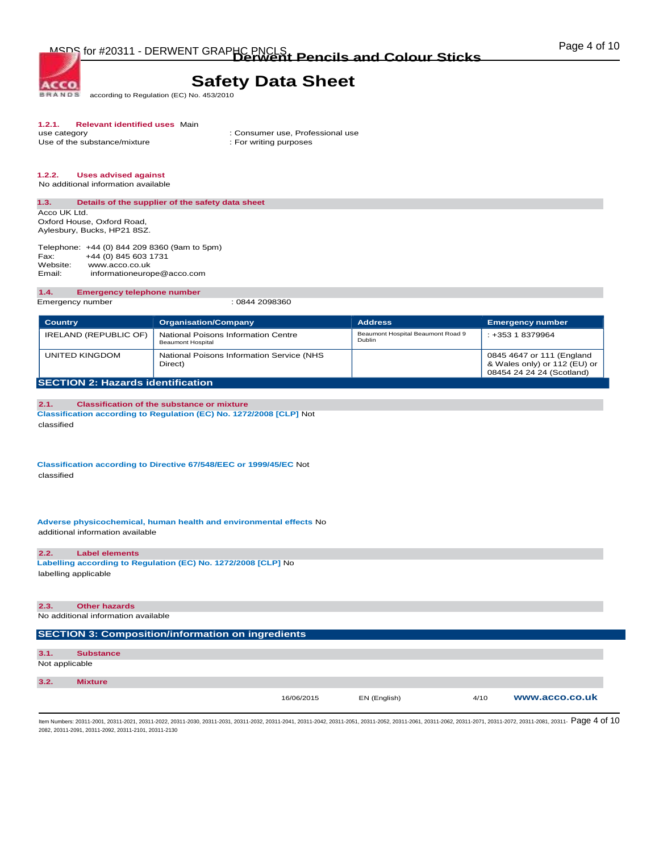MSDS for #20311 - DERWENT GRAPHC PNCLS<br> **Derwent Pencils and Colour Sticks COLOUR COLOUR** 

## **Safety Data Sheet**

according to Regulation (EC) No. 453/2010 **BRANDS** 

# **1.2.1. Relevant identified uses** Main

Use of the substance/mixture

**ACCO** 

: Consumer use, Professional use : For writing purposes

#### **1.2.2. Uses advised against**  No additional information available

**1.3. Details of the supplier of the safety data sheet** 

Acco UK Ltd. Oxford House, Oxford Road, Aylesbury, Bucks, HP21 8SZ.

Telephone: +44 (0) 844 209 8360 (9am to 5pm)<br>Fax: +44 (0) 845 603 1731 Fax: +44 (0) 845 603 1731<br>Website: www.acco.co.uk Website: www.acco.co.uk<br>Email: informationeuror informationeurope@acco.com

#### **1.4. Emergency telephone number**

Emergency number : 0844 2098360

| <b>Country</b>                           | <b>Organisation/Company</b>                                     | <b>Address</b>                              | <b>Emergency number</b>                                                                |  |
|------------------------------------------|-----------------------------------------------------------------|---------------------------------------------|----------------------------------------------------------------------------------------|--|
| IRELAND (REPUBLIC OF)                    | National Poisons Information Centre<br><b>Beaumont Hospital</b> | Beaumont Hospital Beaumont Road 9<br>Dublin | : +353 1 8379964                                                                       |  |
| UNITED KINGDOM                           | National Poisons Information Service (NHS<br>Direct)            |                                             | 0845 4647 or 111 (England<br>& Wales only) or 112 (EU) or<br>08454 24 24 24 (Scotland) |  |
| <b>SECTION 2: Hazards identification</b> |                                                                 |                                             |                                                                                        |  |

**2.1. Classification of the substance or mixture Classification according to Regulation (EC) No. 1272/2008 [CLP]** Not classified

**Classification according to Directive 67/548/EEC or 1999/45/EC** Not classified

**Adverse physicochemical, human health and environmental effects** No additional information available

#### **2.2. Label elements**

**Labelling according to Regulation (EC) No. 1272/2008 [CLP]** No labelling applicable

| 2.3.           | <b>Other hazards</b>                                     |            |              |      |                |
|----------------|----------------------------------------------------------|------------|--------------|------|----------------|
|                | No additional information available                      |            |              |      |                |
|                |                                                          |            |              |      |                |
|                | <b>SECTION 3: Composition/information on ingredients</b> |            |              |      |                |
|                |                                                          |            |              |      |                |
| 3.1.           | <b>Substance</b>                                         |            |              |      |                |
| Not applicable |                                                          |            |              |      |                |
|                |                                                          |            |              |      |                |
| 3.2.           | <b>Mixture</b>                                           |            |              |      |                |
|                |                                                          | 16/06/2015 | EN (English) | 4/10 | www.acco.co.uk |

ltem Numbers: 20311-2001, 20311-2021, 20311-2022, 20311-2030, 20311-2031, 20311-2032, 20311-2041, 20311-2043, 20311-2051, 20311-2062, 20311-2061, 20311-2061, 20311-2062, 20311-2072, 20311-2072, 20311-2081, 20311-2072, 2031 2082, 20311-2091, 20311-2092, 20311-2101, 20311-2130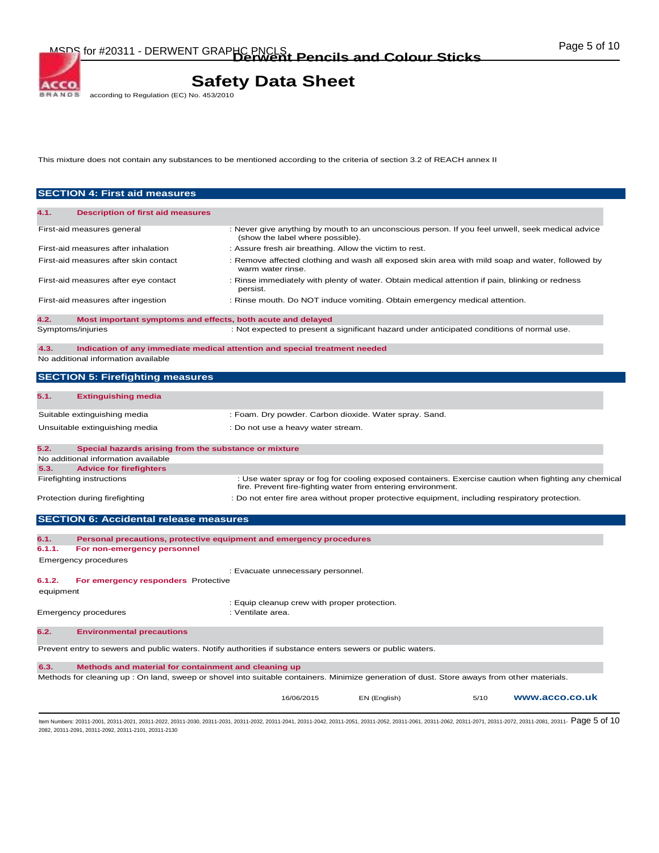MSDS for #20311 - DERWENT GRAPHC PNCLS<br> **Derwent Pencils and Colour Sticks COLOUR COLOUR** 

# **Safety Data Sheet**<br>according to Regulation (EC) No. 453/2010

2082, 20311-2091, 20311-2092, 20311-2101, 20311-2130

This mixture does not contain any substances to be mentioned according to the criteria of section 3.2 of REACH annex II

|           | <b>SECTION 4: First aid measures</b>                                                                                                        |                                                                                                                      |              |      |                                                                                                      |
|-----------|---------------------------------------------------------------------------------------------------------------------------------------------|----------------------------------------------------------------------------------------------------------------------|--------------|------|------------------------------------------------------------------------------------------------------|
| 4.1.      | <b>Description of first aid measures</b>                                                                                                    |                                                                                                                      |              |      |                                                                                                      |
|           | First-aid measures general                                                                                                                  | : Never give anything by mouth to an unconscious person. If you feel unwell, seek medical advice                     |              |      |                                                                                                      |
|           | First-aid measures after inhalation                                                                                                         | (show the label where possible).<br>: Assure fresh air breathing. Allow the victim to rest.                          |              |      |                                                                                                      |
|           | First-aid measures after skin contact                                                                                                       | : Remove affected clothing and wash all exposed skin area with mild soap and water, followed by<br>warm water rinse. |              |      |                                                                                                      |
|           | First-aid measures after eye contact                                                                                                        | : Rinse immediately with plenty of water. Obtain medical attention if pain, blinking or redness<br>persist.          |              |      |                                                                                                      |
|           | First-aid measures after ingestion                                                                                                          | : Rinse mouth. Do NOT induce vomiting. Obtain emergency medical attention.                                           |              |      |                                                                                                      |
| 4.2.      | Most important symptoms and effects, both acute and delayed                                                                                 |                                                                                                                      |              |      |                                                                                                      |
|           | Symptoms/injuries                                                                                                                           | : Not expected to present a significant hazard under anticipated conditions of normal use.                           |              |      |                                                                                                      |
| 4.3.      | Indication of any immediate medical attention and special treatment needed<br>No additional information available                           |                                                                                                                      |              |      |                                                                                                      |
|           | <b>SECTION 5: Firefighting measures</b>                                                                                                     |                                                                                                                      |              |      |                                                                                                      |
| 5.1.      | <b>Extinguishing media</b>                                                                                                                  |                                                                                                                      |              |      |                                                                                                      |
|           | Suitable extinguishing media                                                                                                                | : Foam. Dry powder. Carbon dioxide. Water spray. Sand.                                                               |              |      |                                                                                                      |
|           | Unsuitable extinguishing media                                                                                                              | : Do not use a heavy water stream.                                                                                   |              |      |                                                                                                      |
| 5.2.      | Special hazards arising from the substance or mixture                                                                                       |                                                                                                                      |              |      |                                                                                                      |
|           | No additional information available                                                                                                         |                                                                                                                      |              |      |                                                                                                      |
| 5.3.      | <b>Advice for firefighters</b><br>Firefighting instructions                                                                                 |                                                                                                                      |              |      | : Use water spray or fog for cooling exposed containers. Exercise caution when fighting any chemical |
|           |                                                                                                                                             | fire. Prevent fire-fighting water from entering environment.                                                         |              |      |                                                                                                      |
|           | Protection during firefighting                                                                                                              | : Do not enter fire area without proper protective equipment, including respiratory protection.                      |              |      |                                                                                                      |
|           | <b>SECTION 6: Accidental release measures</b>                                                                                               |                                                                                                                      |              |      |                                                                                                      |
| 6.1.      | Personal precautions, protective equipment and emergency procedures                                                                         |                                                                                                                      |              |      |                                                                                                      |
| 6.1.1.    | For non-emergency personnel                                                                                                                 |                                                                                                                      |              |      |                                                                                                      |
|           | <b>Emergency procedures</b>                                                                                                                 |                                                                                                                      |              |      |                                                                                                      |
| 6.1.2.    | For emergency responders Protective                                                                                                         | : Evacuate unnecessary personnel.                                                                                    |              |      |                                                                                                      |
| equipment |                                                                                                                                             |                                                                                                                      |              |      |                                                                                                      |
|           | <b>Emergency procedures</b>                                                                                                                 | : Equip cleanup crew with proper protection.<br>: Ventilate area.                                                    |              |      |                                                                                                      |
|           |                                                                                                                                             |                                                                                                                      |              |      |                                                                                                      |
| 6.2.      |                                                                                                                                             |                                                                                                                      |              |      |                                                                                                      |
|           | <b>Environmental precautions</b>                                                                                                            |                                                                                                                      |              |      |                                                                                                      |
|           | Prevent entry to sewers and public waters. Notify authorities if substance enters sewers or public waters.                                  |                                                                                                                      |              |      |                                                                                                      |
| 6.3.      | Methods and material for containment and cleaning up                                                                                        |                                                                                                                      |              |      |                                                                                                      |
|           | Methods for cleaning up : On land, sweep or shovel into suitable containers. Minimize generation of dust. Store aways from other materials. | 16/06/2015                                                                                                           | EN (English) | 5/10 | www.acco.co.uk                                                                                       |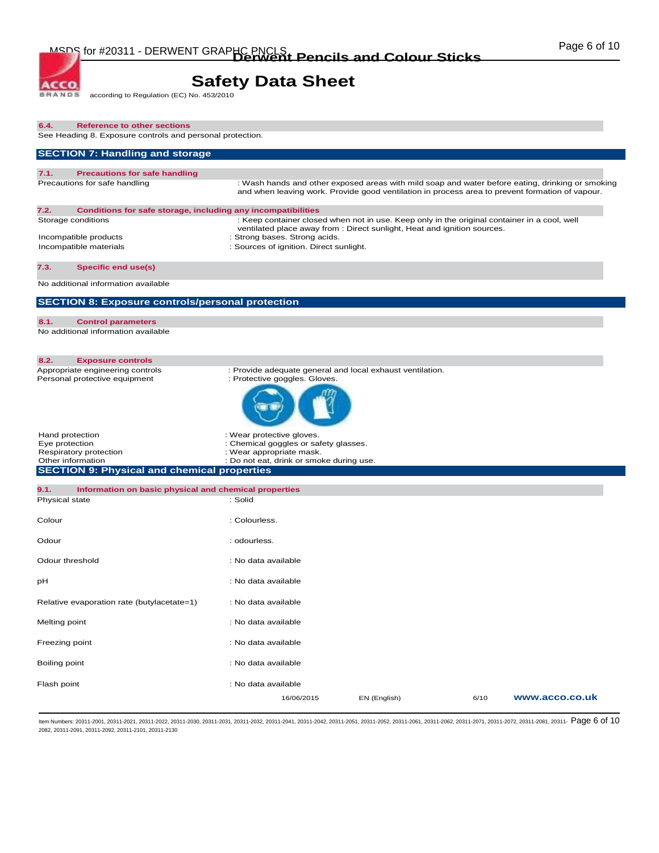# **Safety Data Sheet**<br>according to Regulation (EC) No. 453/2010

**BRANDS** 

ACCO.

| 6.4.<br><b>Reference to other sections</b><br>See Heading 8. Exposure controls and personal protection. |                                                                                                                                                                                                           |              |      |                |
|---------------------------------------------------------------------------------------------------------|-----------------------------------------------------------------------------------------------------------------------------------------------------------------------------------------------------------|--------------|------|----------------|
| <b>SECTION 7: Handling and storage</b>                                                                  |                                                                                                                                                                                                           |              |      |                |
| 7.1.<br><b>Precautions for safe handling</b>                                                            |                                                                                                                                                                                                           |              |      |                |
| Precautions for safe handling                                                                           | : Wash hands and other exposed areas with mild soap and water before eating, drinking or smoking<br>and when leaving work. Provide good ventilation in process area to prevent formation of vapour.       |              |      |                |
| 7.2.<br>Conditions for safe storage, including any incompatibilities                                    |                                                                                                                                                                                                           |              |      |                |
| Storage conditions                                                                                      | : Keep container closed when not in use. Keep only in the original container in a cool, well<br>ventilated place away from : Direct sunlight, Heat and ignition sources.<br>: Strong bases. Strong acids. |              |      |                |
| Incompatible products<br>Incompatible materials                                                         | : Sources of ignition. Direct sunlight.                                                                                                                                                                   |              |      |                |
| <b>Specific end use(s)</b><br>7.3.                                                                      |                                                                                                                                                                                                           |              |      |                |
| No additional information available                                                                     |                                                                                                                                                                                                           |              |      |                |
| <b>SECTION 8: Exposure controls/personal protection</b>                                                 |                                                                                                                                                                                                           |              |      |                |
| 8.1.<br><b>Control parameters</b><br>No additional information available                                |                                                                                                                                                                                                           |              |      |                |
|                                                                                                         |                                                                                                                                                                                                           |              |      |                |
| 8.2.<br><b>Exposure controls</b><br>Appropriate engineering controls                                    | : Provide adequate general and local exhaust ventilation.                                                                                                                                                 |              |      |                |
| Personal protective equipment                                                                           | : Protective goggles. Gloves.                                                                                                                                                                             |              |      |                |
| Hand protection<br>Eye protection                                                                       | : Wear protective gloves.<br>: Chemical goggles or safety glasses.                                                                                                                                        |              |      |                |
| Respiratory protection<br>Other information                                                             | : Wear appropriate mask.<br>: Do not eat, drink or smoke during use.                                                                                                                                      |              |      |                |
| <b>SECTION 9: Physical and chemical properties</b>                                                      |                                                                                                                                                                                                           |              |      |                |
| 9.1.<br>Information on basic physical and chemical properties<br>Physical state                         | : Solid                                                                                                                                                                                                   |              |      |                |
| Colour                                                                                                  | : Colourless.                                                                                                                                                                                             |              |      |                |
| Odour                                                                                                   | : odourless.                                                                                                                                                                                              |              |      |                |
| Odour threshold                                                                                         | : No data available                                                                                                                                                                                       |              |      |                |
| рH                                                                                                      | : No data available                                                                                                                                                                                       |              |      |                |
| Relative evaporation rate (butylacetate=1)                                                              | : No data available                                                                                                                                                                                       |              |      |                |
| Melting point                                                                                           | : No data available                                                                                                                                                                                       |              |      |                |
| Freezing point                                                                                          | : No data available                                                                                                                                                                                       |              |      |                |
| Boiling point                                                                                           | : No data available                                                                                                                                                                                       |              |      |                |
| Flash point                                                                                             | : No data available                                                                                                                                                                                       |              |      |                |
|                                                                                                         | 16/06/2015                                                                                                                                                                                                | EN (English) | 6/10 | www.acco.co.uk |

ltem Numbers: 20311-2001, 20311-2021, 20311-2022, 20311-2030, 20311-2031, 20311-2032, 20311-2041, 20311-2042, 20311-2051, 20311-2062, 20311-2061, 20311-2061, 20311-2067, 20311-2072, 20311-2072, 20311-2081, 20311-2072, 2031 2082, 20311-2091, 20311-2092, 20311-2101, 20311-2130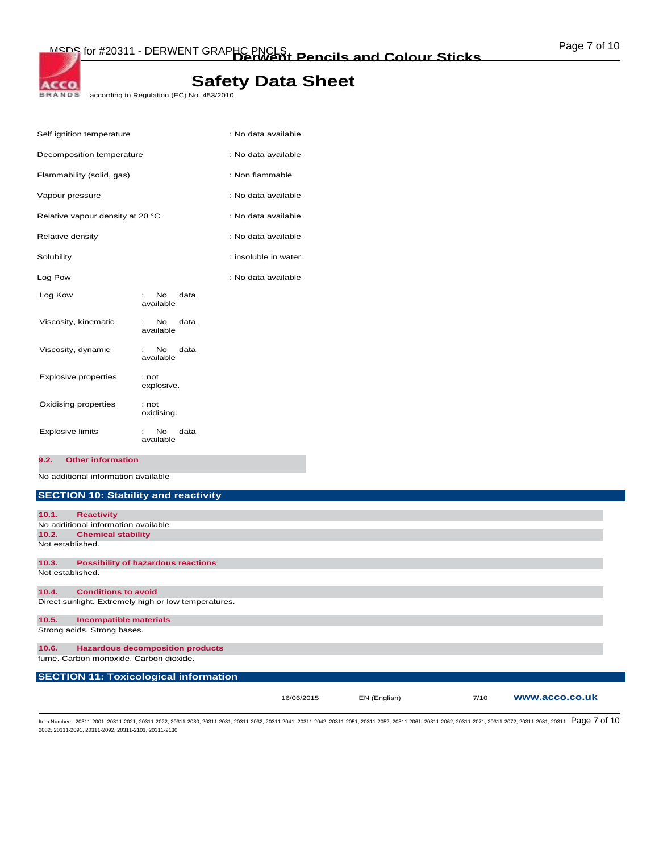according to Regulation (EC) No. 453/2010

| Self ignition temperature        |                                      | : No data available   |
|----------------------------------|--------------------------------------|-----------------------|
| Decomposition temperature        |                                      | : No data available   |
| Flammability (solid, gas)        |                                      | : Non flammable       |
| Vapour pressure                  |                                      | : No data available   |
| Relative vapour density at 20 °C |                                      | : No data available   |
| Relative density                 |                                      | : No data available   |
| Solubility                       |                                      | : insoluble in water. |
| Log Pow                          |                                      | : No data available   |
| Log Kow                          | <b>No</b><br>data<br>÷.<br>available |                       |
| Viscosity, kinematic             | data<br>No.<br>t in<br>available     |                       |
| Viscosity, dynamic               | No<br>data<br>available              |                       |
| <b>Explosive properties</b>      | : not<br>explosive.                  |                       |
| Oxidising properties             | : not<br>oxidising.                  |                       |
| <b>Explosive limits</b>          | No<br>data<br>available              |                       |

**9.2. Other information** 

ACCO. **BRANDS** 

No additional information available

#### **SECTION 10: Stability and reactivity**

| 10.1.            | <b>Reactivity</b>                                    |            |              |      |                |
|------------------|------------------------------------------------------|------------|--------------|------|----------------|
|                  | No additional information available                  |            |              |      |                |
| 10.2.            | <b>Chemical stability</b>                            |            |              |      |                |
| Not established. |                                                      |            |              |      |                |
| 10.3.            | <b>Possibility of hazardous reactions</b>            |            |              |      |                |
| Not established. |                                                      |            |              |      |                |
| 10.4.            | <b>Conditions to avoid</b>                           |            |              |      |                |
|                  | Direct sunlight. Extremely high or low temperatures. |            |              |      |                |
| 10.5.            | <b>Incompatible materials</b>                        |            |              |      |                |
|                  | Strong acids. Strong bases.                          |            |              |      |                |
| 10.6.            | <b>Hazardous decomposition products</b>              |            |              |      |                |
|                  | fume. Carbon monoxide. Carbon dioxide.               |            |              |      |                |
|                  | <b>SECTION 11: Toxicological information</b>         |            |              |      |                |
|                  |                                                      | 16/06/2015 | EN (English) | 7/10 | www.acco.co.uk |

ltem Numbers: 20311-2001, 20311-2021, 20311-2022, 20311-2030, 20311-2031, 20311-2032, 20311-2041, 20311-2042, 20311-2051, 20311-2062, 20311-2061, 20311-2061, 20311-2062, 20311-2072, 20311-2072, 20311-2081, 20311-2072, 2031 2082, 20311-2091, 20311-2092, 20311-2101, 20311-2130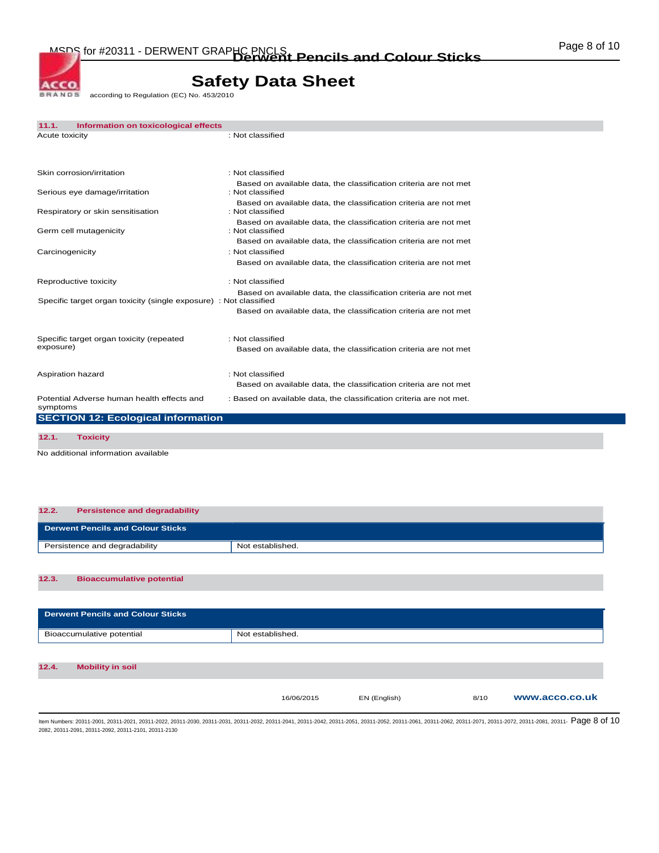MSDS for #20311 - DERWENT GRAPHC PNCLS<br> **Derwent Pencils and Colour Sticks COLOUR COLOUR** 

# **Safety Data Sheet**

according to Regulation (EC) No. 453/2010 **BRANDS** 

ACCO.

| 11.1.           | Information on toxicological effects                              |                                                                                      |
|-----------------|-------------------------------------------------------------------|--------------------------------------------------------------------------------------|
| Acute toxicity  |                                                                   | : Not classified                                                                     |
|                 |                                                                   |                                                                                      |
|                 | Skin corrosion/irritation                                         | : Not classified                                                                     |
|                 | Serious eye damage/irritation                                     | Based on available data, the classification criteria are not met<br>: Not classified |
|                 | Respiratory or skin sensitisation                                 | Based on available data, the classification criteria are not met<br>: Not classified |
|                 | Germ cell mutagenicity                                            | Based on available data, the classification criteria are not met<br>: Not classified |
| Carcinogenicity |                                                                   | Based on available data, the classification criteria are not met<br>: Not classified |
|                 |                                                                   | Based on available data, the classification criteria are not met                     |
|                 | Reproductive toxicity                                             | : Not classified                                                                     |
|                 | Specific target organ toxicity (single exposure) : Not classified | Based on available data, the classification criteria are not met                     |
|                 |                                                                   | Based on available data, the classification criteria are not met                     |
|                 | Specific target organ toxicity (repeated                          | : Not classified                                                                     |
| exposure)       |                                                                   | Based on available data, the classification criteria are not met                     |
|                 | Aspiration hazard                                                 | : Not classified                                                                     |
|                 |                                                                   | Based on available data, the classification criteria are not met                     |
| symptoms        | Potential Adverse human health effects and                        | : Based on available data, the classification criteria are not met.                  |
|                 | <b>SECTION 12: Ecological information</b>                         |                                                                                      |
| 12.1.           | <b>Toxicity</b>                                                   |                                                                                      |
|                 |                                                                   |                                                                                      |

No additional information available

# **12.3. Bioaccumulative potential 12.2. Persistence and degradability Derwent Pencils and Colour Sticks**  Persistence and degradability Not established.

| <b>Derwent Pencils and Colour Sticks</b> |                  |              |      |                |
|------------------------------------------|------------------|--------------|------|----------------|
| Bioaccumulative potential                | Not established. |              |      |                |
|                                          |                  |              |      |                |
| 12.4.<br><b>Mobility in soil</b>         |                  |              |      |                |
|                                          | 16/06/2015       | EN (English) | 8/10 | www.acco.co.uk |

ltem Numbers: 20311-2001, 20311-2021, 20311-2022, 20311-2030, 20311-2031, 20311-2032, 20311-2041, 20311-2042, 20311-2051, 20311-2062, 20311-2061, 20311-2061, 20311-2067, 20311-2072, 20311-2072, 20311-2081, 20311-2081, 2031 2082, 20311-2091, 20311-2092, 20311-2101, 20311-2130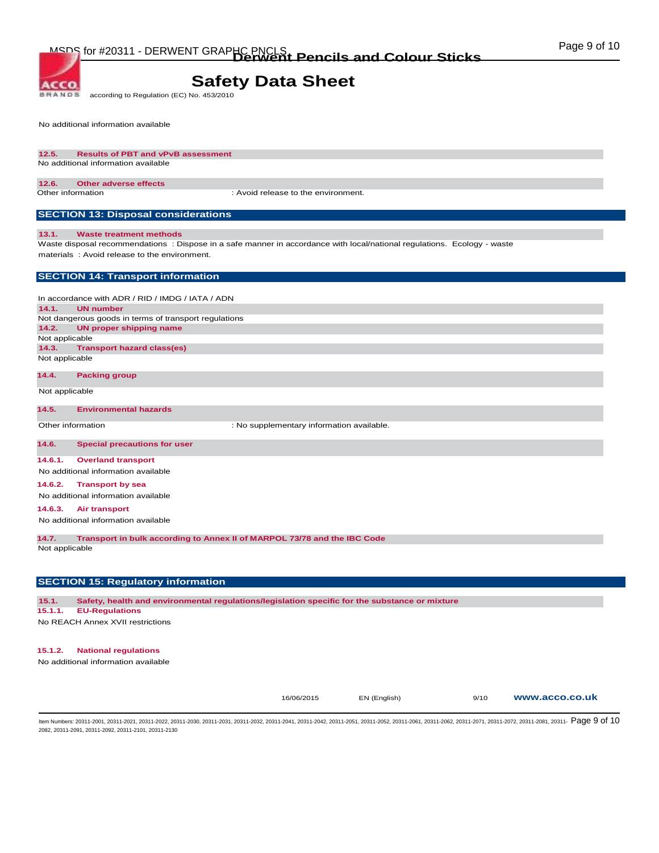**BRANDS** according to Regulation (EC) No. 453/2010

No additional information available

**ACCO** 

#### **12.5. Results of PBT and vPvB assessment**  No additional information available

#### **12.6. Other adverse effects**

Other information : Avoid release to the environment.

#### **SECTION 13: Disposal considerations**

#### **13.1. Waste treatment methods**

Waste disposal recommendations : Dispose in a safe manner in accordance with local/national regulations. Ecology - waste materials : Avoid release to the environment.

#### **SECTION 14: Transport information**

In accordance with ADR / RID / IMDG / IATA / ADN **14.1. UN number**  Not dangerous goods in terms of transport regulations **14.2. UN proper shipping name**  Not applicable **14.3. Transport hazard class(es)**  Not applicable

#### **14.4. Packing group**

Not applicable

#### **14.5. Environmental hazards**

Other information  $\qquad \qquad :$  No supplementary information available.

#### **14.6. Special precautions for user**

**14.6.1. Overland transport** 

#### No additional information available

**14.6.2. Transport by sea** 

No additional information available

#### **14.6.3. Air transport**

No additional information available

**14.7. Transport in bulk according to Annex II of MARPOL 73/78 and the IBC Code** 

Not applicable

#### **SECTION 15: Regulatory information**

**15.1. Safety, health and environmental regulations/legislation specific for the substance or mixture** 

#### **15.1.1. EU-Regulations**

No REACH Annex XVII restrictions

#### **15.1.2. National regulations**

No additional information available

16/06/2015 EN (English) 9/10 **www.acco.co.uk**

ltem Numbers: 20311-2001, 20311-2021, 20311-2022, 20311-2030, 20311-2031, 20311-2032, 20311-2041, 20311-2042, 20311-2051, 20311-2062, 20311-2061, 20311-2061, 20311-2067, 20311-2072, 20311-2072, 20311-2081, 20311-2081, 2031 2082, 20311-2091, 20311-2092, 20311-2101, 20311-2130